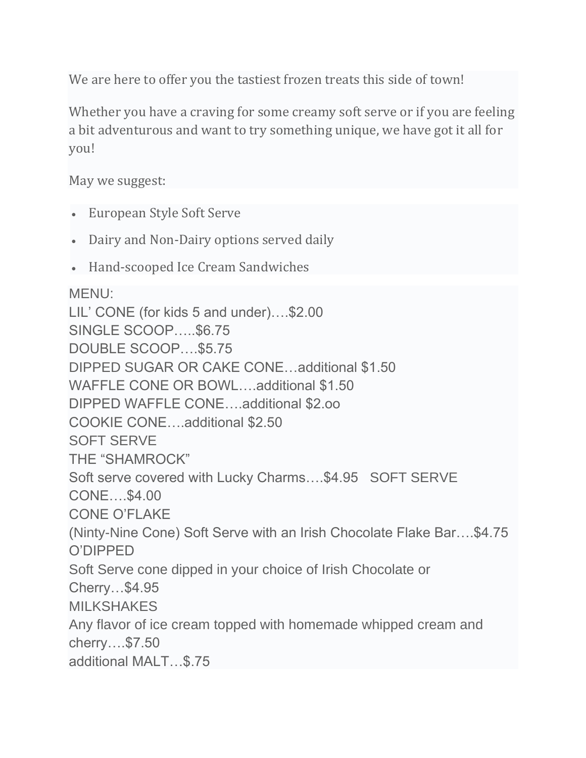We are here to offer you the tastiest frozen treats this side of town!

Whether you have a craving for some creamy soft serve or if you are feeling a bit adventurous and want to try something unique, we have got it all for you!

May we suggest:

- European Style Soft Serve
- Dairy and Non-Dairy options served daily
- Hand-scooped Ice Cream Sandwiches

MENU:

LIL' CONE (for kids 5 and under)….\$2.00 SINGLE SCOOP…..\$6.75 DOUBLE SCOOP….\$5.75 DIPPED SUGAR OR CAKE CONE…additional \$1.50 WAFFLE CONE OR BOWL….additional \$1.50 DIPPED WAFFLE CONE….additional \$2.oo COOKIE CONE….additional \$2.50 SOFT SERVE THE "SHAMROCK" Soft serve covered with Lucky Charms….\$4.95 SOFT SERVE CONE….\$4.00 CONE O'FLAKE (Ninty-Nine Cone) Soft Serve with an Irish Chocolate Flake Bar….\$4.75 O'DIPPED Soft Serve cone dipped in your choice of Irish Chocolate or Cherry…\$4.95 **MILKSHAKES** Any flavor of ice cream topped with homemade whipped cream and cherry….\$7.50 additional MALT…\$.75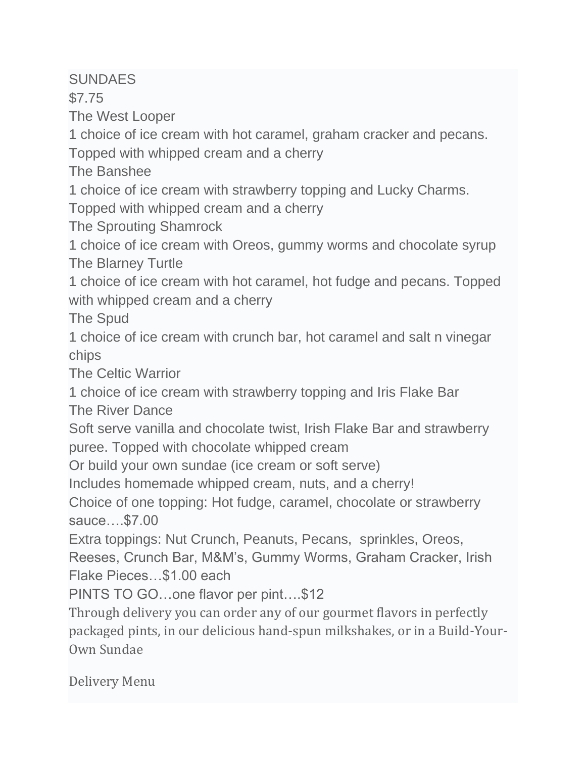## **SUNDAES**

\$7.75

The West Looper

1 choice of ice cream with hot caramel, graham cracker and pecans.

Topped with whipped cream and a cherry

The Banshee

1 choice of ice cream with strawberry topping and Lucky Charms.

Topped with whipped cream and a cherry

The Sprouting Shamrock

1 choice of ice cream with Oreos, gummy worms and chocolate syrup The Blarney Turtle

1 choice of ice cream with hot caramel, hot fudge and pecans. Topped with whipped cream and a cherry

The Spud

1 choice of ice cream with crunch bar, hot caramel and salt n vinegar chips

The Celtic Warrior

1 choice of ice cream with strawberry topping and Iris Flake Bar The River Dance

Soft serve vanilla and chocolate twist, Irish Flake Bar and strawberry puree. Topped with chocolate whipped cream

Or build your own sundae (ice cream or soft serve)

Includes homemade whipped cream, nuts, and a cherry!

Choice of one topping: Hot fudge, caramel, chocolate or strawberry sauce….\$7.00

Extra toppings: Nut Crunch, Peanuts, Pecans, sprinkles, Oreos,

Reeses, Crunch Bar, M&M's, Gummy Worms, Graham Cracker, Irish Flake Pieces…\$1.00 each

PINTS TO GO…one flavor per pint….\$12

Through delivery you can order any of our gourmet flavors in perfectly packaged pints, in our delicious hand-spun milkshakes, or in a Build-Your-Own Sundae

Delivery Menu